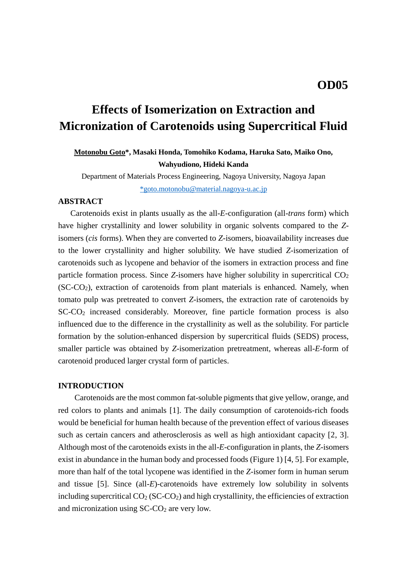# **Effects of Isomerization on Extraction and Micronization of Carotenoids using Supercritical Fluid**

# **Motonobu Goto\*, Masaki Honda, Tomohiko Kodama, Haruka Sato, Maiko Ono, Wahyudiono, Hideki Kanda**

Department of Materials Process Engineering, Nagoya University, Nagoya Japan [\\*goto.motonobu@material.nagoya-u.ac.jp](mailto:*goto.motonobu@material.nagoya-u.ac.jp)

# **ABSTRACT**

Carotenoids exist in plants usually as the all-*E*-configuration (all-*trans* form) which have higher crystallinity and lower solubility in organic solvents compared to the *Z*isomers (*cis* forms). When they are converted to *Z*-isomers, bioavailability increases due to the lower crystallinity and higher solubility. We have studied *Z*-isomerization of carotenoids such as lycopene and behavior of the isomers in extraction process and fine particle formation process. Since *Z*-isomers have higher solubility in supercritical CO<sub>2</sub>  $(SC-CO<sub>2</sub>)$ , extraction of carotenoids from plant materials is enhanced. Namely, when tomato pulp was pretreated to convert *Z*-isomers, the extraction rate of carotenoids by SC-CO<sup>2</sup> increased considerably. Moreover, fine particle formation process is also influenced due to the difference in the crystallinity as well as the solubility. For particle formation by the solution-enhanced dispersion by supercritical fluids (SEDS) process, smaller particle was obtained by *Z*-isomerization pretreatment, whereas all-*E*-form of carotenoid produced larger crystal form of particles.

#### **INTRODUCTION**

Carotenoids are the most common fat-soluble pigments that give yellow, orange, and red colors to plants and animals [1]. The daily consumption of carotenoids-rich foods would be beneficial for human health because of the prevention effect of various diseases such as certain cancers and atherosclerosis as well as high antioxidant capacity [2, 3]. Although most of the carotenoids exists in the all-*E*-configuration in plants, the *Z*-isomers exist in abundance in the human body and processed foods (Figure 1) [4, 5]. For example, more than half of the total lycopene was identified in the *Z*-isomer form in human serum and tissue [5]. Since (all-*E*)-carotenoids have extremely low solubility in solvents including supercritical  $CO<sub>2</sub> (SC-CO<sub>2</sub>)$  and high crystallinity, the efficiencies of extraction and micronization using SC-CO<sub>2</sub> are very low.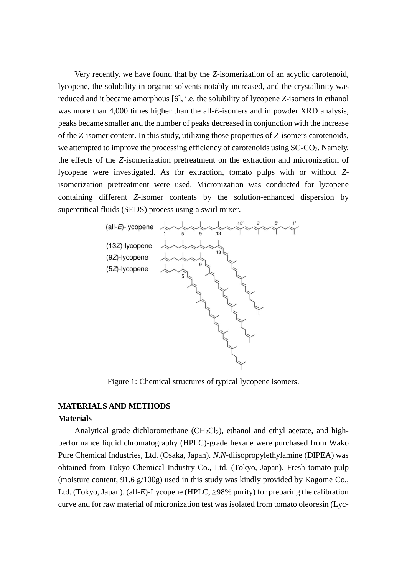Very recently, we have found that by the *Z*-isomerization of an acyclic carotenoid, lycopene, the solubility in organic solvents notably increased, and the crystallinity was reduced and it became amorphous [6], i.e. the solubility of lycopene *Z*-isomers in ethanol was more than 4,000 times higher than the all-*E*-isomers and in powder XRD analysis, peaks became smaller and the number of peaks decreased in conjunction with the increase of the *Z*-isomer content. In this study, utilizing those properties of *Z*-isomers carotenoids, we attempted to improve the processing efficiency of carotenoids using  $SC\text{-}CO<sub>2</sub>$ . Namely, the effects of the *Z*-isomerization pretreatment on the extraction and micronization of lycopene were investigated. As for extraction, tomato pulps with or without *Z*isomerization pretreatment were used. Micronization was conducted for lycopene containing different *Z*-isomer contents by the solution-enhanced dispersion by supercritical fluids (SEDS) process using a swirl mixer.



Figure 1: Chemical structures of typical lycopene isomers.

# **MATERIALS AND METHODS**

## **Materials**

Analytical grade dichloromethane  $(CH_2Cl_2)$ , ethanol and ethyl acetate, and highperformance liquid chromatography (HPLC)-grade hexane were purchased from Wako Pure Chemical Industries, Ltd. (Osaka, Japan). *N*,*N*-diisopropylethylamine (DIPEA) was obtained from Tokyo Chemical Industry Co., Ltd. (Tokyo, Japan). Fresh tomato pulp (moisture content, 91.6 g/100g) used in this study was kindly provided by Kagome Co., Ltd. (Tokyo, Japan). (all-*E*)-Lycopene (HPLC, ≥98% purity) for preparing the calibration curve and for raw material of micronization test was isolated from tomato oleoresin (Lyc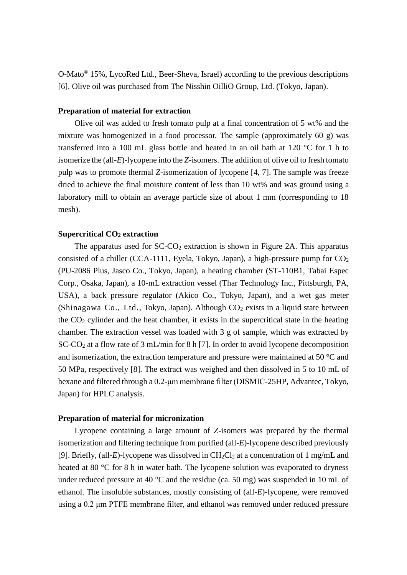O-Mato® 15%, LycoRed Ltd., Beer-Sheva, Israel) according to the previous descriptions [6]. Olive oil was purchased from The Nisshin OilliO Group, Ltd. (Tokyo, Japan).

## **Preparation of material for extraction**

Olive oil was added to fresh tomato pulp at a final concentration of 5 wt% and the mixture was homogenized in a food processor. The sample (approximately 60 g) was transferred into a 100 mL glass bottle and heated in an oil bath at 120 °C for 1 h to isomerize the (all-*E*)-lycopene into the *Z*-isomers. The addition of olive oil to fresh tomato pulp was to promote thermal *Z*-isomerization of lycopene [4, 7]. The sample was freeze dried to achieve the final moisture content of less than 10 wt% and was ground using a laboratory mill to obtain an average particle size of about 1 mm (corresponding to 18 mesh).

#### **Supercritical CO<sup>2</sup> extraction**

The apparatus used for  $SC-CO<sub>2</sub>$  extraction is shown in Figure 2A. This apparatus consisted of a chiller (CCA-1111, Eyela, Tokyo, Japan), a high-pressure pump for  $CO<sub>2</sub>$ (PU-2086 Plus, Jasco Co., Tokyo, Japan), a heating chamber (ST-110B1, Tabai Espec Corp., Osaka, Japan), a 10-mL extraction vessel (Thar Technology Inc., Pittsburgh, PA, USA), a back pressure regulator (Akico Co., Tokyo, Japan), and a wet gas meter (Shinagawa Co., Ltd., Tokyo, Japan). Although  $CO<sub>2</sub>$  exists in a liquid state between the  $CO<sub>2</sub>$  cylinder and the heat chamber, it exists in the supercritical state in the heating chamber. The extraction vessel was loaded with 3 g of sample, which was extracted by SC-CO<sup>2</sup> at a flow rate of 3 mL/min for 8 h [7]. In order to avoid lycopene decomposition and isomerization, the extraction temperature and pressure were maintained at 50 °C and 50 MPa, respectively [8]. The extract was weighed and then dissolved in 5 to 10 mL of hexane and filtered through a 0.2-μm membrane filter (DISMIC-25HP, Advantec, Tokyo, Japan) for HPLC analysis.

#### **Preparation of material for micronization**

Lycopene containing a large amount of *Z*-isomers was prepared by the thermal isomerization and filtering technique from purified (all-*E*)-lycopene described previously [9]. Briefly, (all-*E*)-lycopene was dissolved in  $CH_2Cl_2$  at a concentration of 1 mg/mL and heated at 80 °C for 8 h in water bath. The lycopene solution was evaporated to dryness under reduced pressure at 40  $^{\circ}$ C and the residue (ca. 50 mg) was suspended in 10 mL of ethanol. The insoluble substances, mostly consisting of (all-*E*)-lycopene, were removed using a 0.2 μm PTFE membrane filter, and ethanol was removed under reduced pressure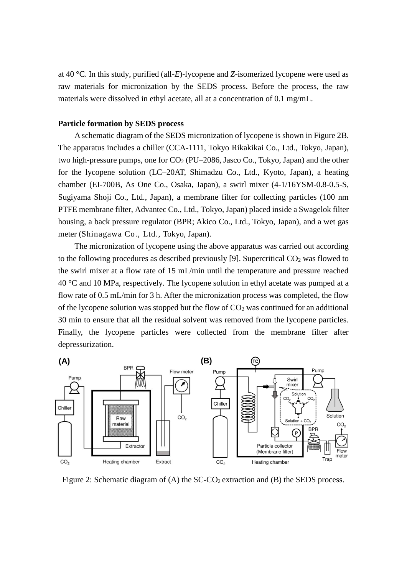at 40 °C. In this study, purified (all-*E*)-lycopene and *Z*-isomerized lycopene were used as raw materials for micronization by the SEDS process. Before the process, the raw materials were dissolved in ethyl acetate, all at a concentration of 0.1 mg/mL.

## **Particle formation by SEDS process**

A schematic diagram of the SEDS micronization of lycopene is shown in Figure 2B. The apparatus includes a chiller (CCA-1111, Tokyo Rikakikai Co., Ltd., Tokyo, Japan), two high-pressure pumps, one for  $CO<sub>2</sub>$  (PU–2086, Jasco Co., Tokyo, Japan) and the other for the lycopene solution (LC–20AT, Shimadzu Co., Ltd., Kyoto, Japan), a heating chamber (EI-700B, As One Co., Osaka, Japan), a swirl mixer (4-1/16YSM-0.8-0.5-S, Sugiyama Shoji Co., Ltd., Japan), a membrane filter for collecting particles (100 nm PTFE membrane filter, Advantec Co., Ltd., Tokyo, Japan) placed inside a Swagelok filter housing, a back pressure regulator (BPR; Akico Co., Ltd., Tokyo, Japan), and a wet gas meter (Shinagawa Co., Ltd., Tokyo, Japan).

The micronization of lycopene using the above apparatus was carried out according to the following procedures as described previously [9]. Supercritical  $CO<sub>2</sub>$  was flowed to the swirl mixer at a flow rate of 15 mL/min until the temperature and pressure reached 40 °C and 10 MPa, respectively. The lycopene solution in ethyl acetate was pumped at a flow rate of 0.5 mL/min for 3 h. After the micronization process was completed, the flow of the lycopene solution was stopped but the flow of  $CO<sub>2</sub>$  was continued for an additional 30 min to ensure that all the residual solvent was removed from the lycopene particles. Finally, the lycopene particles were collected from the membrane filter after depressurization.



Figure 2: Schematic diagram of  $(A)$  the SC-CO<sub>2</sub> extraction and  $(B)$  the SEDS process.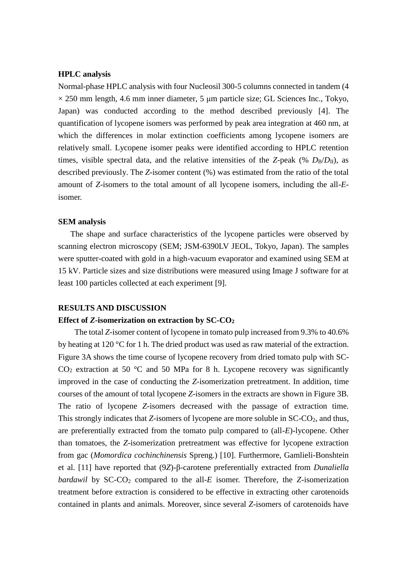## **HPLC analysis**

Normal-phase HPLC analysis with four Nucleosil 300-5 columns connected in tandem (4  $\times$  250 mm length, 4.6 mm inner diameter, 5 µm particle size; GL Sciences Inc., Tokyo, Japan) was conducted according to the method described previously [4]. The quantification of lycopene isomers was performed by peak area integration at 460 nm, at which the differences in molar extinction coefficients among lycopene isomers are relatively small. Lycopene isomer peaks were identified according to HPLC retention times, visible spectral data, and the relative intensities of the *Z*-peak (%  $D_B/D_{II}$ ), as described previously. The *Z*-isomer content (%) was estimated from the ratio of the total amount of *Z*-isomers to the total amount of all lycopene isomers, including the all-*E*isomer.

#### **SEM analysis**

The shape and surface characteristics of the lycopene particles were observed by scanning electron microscopy (SEM; JSM-6390LV JEOL, Tokyo, Japan). The samples were sputter-coated with gold in a high-vacuum evaporator and examined using SEM at 15 kV. Particle sizes and size distributions were measured using Image J software for at least 100 particles collected at each experiment [9].

#### **RESULTS AND DISCUSSION**

#### **Effect of** *Z***-isomerization on extraction by SC-CO<sup>2</sup>**

The total *Z*-isomer content of lycopene in tomato pulp increased from 9.3% to 40.6% by heating at 120 °C for 1 h. The dried product was used as raw material of the extraction. Figure 3A shows the time course of lycopene recovery from dried tomato pulp with SC- $CO<sub>2</sub>$  extraction at 50 °C and 50 MPa for 8 h. Lycopene recovery was significantly improved in the case of conducting the *Z*-isomerization pretreatment. In addition, time courses of the amount of total lycopene *Z*-isomers in the extracts are shown in Figure 3B. The ratio of lycopene *Z*-isomers decreased with the passage of extraction time. This strongly indicates that *Z*-isomers of lycopene are more soluble in SC-CO<sub>2</sub>, and thus, are preferentially extracted from the tomato pulp compared to (all-*E*)-lycopene. Other than tomatoes, the *Z*-isomerization pretreatment was effective for lycopene extraction from gac (*Momordica cochinchinensis* Spreng.) [10]. Furthermore, Gamlieli-Bonshtein et al. [11] have reported that (9*Z*)-β-carotene preferentially extracted from *Dunaliella bardawil* by SC-CO<sub>2</sub> compared to the all-*E* isomer. Therefore, the *Z*-isomerization treatment before extraction is considered to be effective in extracting other carotenoids contained in plants and animals. Moreover, since several *Z*-isomers of carotenoids have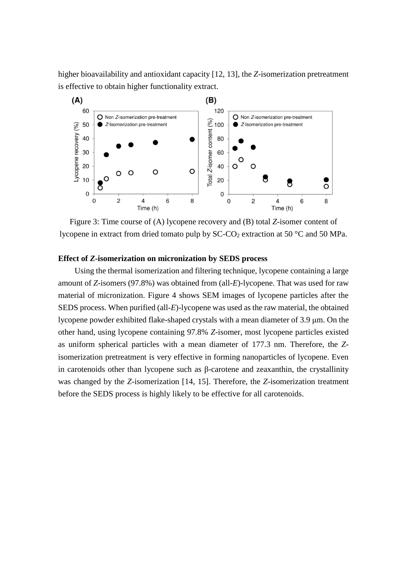higher bioavailability and antioxidant capacity [12, 13], the *Z*-isomerization pretreatment is effective to obtain higher functionality extract.



Figure 3: Time course of (A) lycopene recovery and (B) total *Z*-isomer content of lycopene in extract from dried tomato pulp by  $SC\text{-}CO_2$  extraction at 50  $\textdegree$ C and 50 MPa.

# **Effect of** *Z***-isomerization on micronization by SEDS process**

Using the thermal isomerization and filtering technique, lycopene containing a large amount of *Z*-isomers (97.8%) was obtained from (all-*E*)-lycopene. That was used for raw material of micronization. Figure 4 shows SEM images of lycopene particles after the SEDS process. When purified (all-*E*)-lycopene was used as the raw material, the obtained lycopene powder exhibited flake-shaped crystals with a mean diameter of 3.9 μm. On the other hand, using lycopene containing 97.8% *Z*-isomer, most lycopene particles existed as uniform spherical particles with a mean diameter of 177.3 nm. Therefore, the *Z*isomerization pretreatment is very effective in forming nanoparticles of lycopene. Even in carotenoids other than lycopene such as β-carotene and zeaxanthin, the crystallinity was changed by the *Z*-isomerization [14, 15]. Therefore, the *Z*-isomerization treatment before the SEDS process is highly likely to be effective for all carotenoids.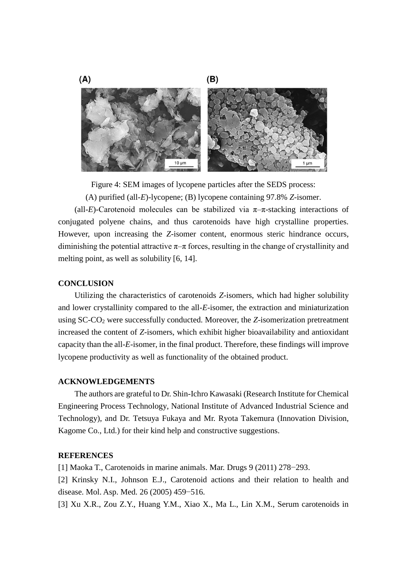

Figure 4: SEM images of lycopene particles after the SEDS process:

(A) purified (all-*E*)-lycopene; (B) lycopene containing 97.8% *Z*-isomer.

(all-*E*)-Carotenoid molecules can be stabilized via  $\pi-\pi$ -stacking interactions of conjugated polyene chains, and thus carotenoids have high crystalline properties. However, upon increasing the *Z*-isomer content, enormous steric hindrance occurs, diminishing the potential attractive  $\pi-\pi$  forces, resulting in the change of crystallinity and melting point, as well as solubility [6, 14].

#### **CONCLUSION**

 Utilizing the characteristics of carotenoids *Z*-isomers, which had higher solubility and lower crystallinity compared to the all-*E*-isomer, the extraction and miniaturization using SC-CO<sup>2</sup> were successfully conducted. Moreover, the *Z*-isomerization pretreatment increased the content of *Z*-isomers, which exhibit higher bioavailability and antioxidant capacity than the all-*E*-isomer, in the final product. Therefore, these findings will improve lycopene productivity as well as functionality of the obtained product.

#### **ACKNOWLEDGEMENTS**

The authors are grateful to Dr. Shin-Ichro Kawasaki (Research Institute for Chemical Engineering Process Technology, National Institute of Advanced Industrial Science and Technology), and Dr. Tetsuya Fukaya and Mr. Ryota Takemura (Innovation Division, Kagome Co., Ltd.) for their kind help and constructive suggestions.

# **REFERENCES**

[1] Maoka T., Carotenoids in marine animals. Mar. Drugs 9 (2011) 278−293.

[2] Krinsky N.I., Johnson E.J., Carotenoid actions and their relation to health and disease. Mol. Asp. Med. 26 (2005) 459−516.

[3] Xu X.R., Zou Z.Y., Huang Y.M., Xiao X., Ma L., Lin X.M., Serum carotenoids in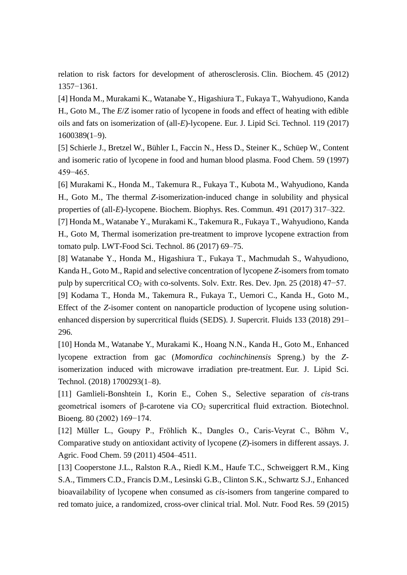relation to risk factors for development of atherosclerosis. Clin. Biochem. 45 (2012) 1357−1361.

[4] Honda M., Murakami K., Watanabe Y., Higashiura T., Fukaya T., Wahyudiono, Kanda H., Goto M., The *E*/*Z* isomer ratio of lycopene in foods and effect of heating with edible oils and fats on isomerization of (all-*E*)-lycopene. Eur. J. Lipid Sci. Technol. 119 (2017) 1600389(1–9).

[5] Schierle J., Bretzel W., Bühler I., Faccin N., Hess D., Steiner K., Schüep W., Content and isomeric ratio of lycopene in food and human blood plasma. Food Chem. 59 (1997) 459−465.

[6] Murakami K., Honda M., Takemura R., Fukaya T., Kubota M., Wahyudiono, Kanda H., Goto M., The thermal *Z*-isomerization-induced change in solubility and physical properties of (all-*E*)-lycopene. Biochem. Biophys. Res. Commun. 491 (2017) 317–322.

[7] Honda M., Watanabe Y., Murakami K., Takemura R., Fukaya T., Wahyudiono, Kanda H., Goto M, Thermal isomerization pre-treatment to improve lycopene extraction from tomato pulp. LWT-Food Sci. Technol. 86 (2017) 69–75.

[8] Watanabe Y., Honda M., Higashiura T., Fukaya T., Machmudah S., Wahyudiono, Kanda H., Goto M., Rapid and selective concentration of lycopene *Z*-isomers from tomato pulp by supercritical CO<sup>2</sup> with co-solvents. Solv*.* Extr*.* Res. Dev*.* Jpn*.* 25 (2018) 47−57. [9] Kodama T., Honda M., Takemura R., Fukaya T., Uemori C., Kanda H., Goto M.,

Effect of the *Z*-isomer content on nanoparticle production of lycopene using solutionenhanced dispersion by supercritical fluids (SEDS). J. Supercrit. Fluids 133 (2018) 291– 296.

[10] Honda M., Watanabe Y., Murakami K., Hoang N.N., Kanda H., Goto M., Enhanced lycopene extraction from gac (*Momordica cochinchinensis* Spreng.) by the *Z*isomerization induced with microwave irradiation pre-treatment. Eur. J. Lipid Sci. Technol. (2018) 1700293(1–8).

[11] Gamlieli-Bonshtein I., Korin E., Cohen S., Selective separation of *cis*-trans geometrical isomers of β-carotene via  $CO<sub>2</sub>$  supercritical fluid extraction. Biotechnol. Bioeng. 80 (2002) 169−174.

[12] Müller L., Goupy P., Fröhlich K., Dangles O., Caris-Veyrat C., Böhm V., Comparative study on antioxidant activity of lycopene (*Z*)-isomers in different assays. J. Agric. Food Chem. 59 (2011) 4504–4511.

[13] Cooperstone J.L., Ralston R.A., Riedl K.M., Haufe T.C., Schweiggert R.M., King S.A., Timmers C.D., Francis D.M., Lesinski G.B., Clinton S.K., Schwartz S.J., Enhanced bioavailability of lycopene when consumed as *cis*-isomers from tangerine compared to red tomato juice, a randomized, cross-over clinical trial. Mol. Nutr. Food Res. 59 (2015)